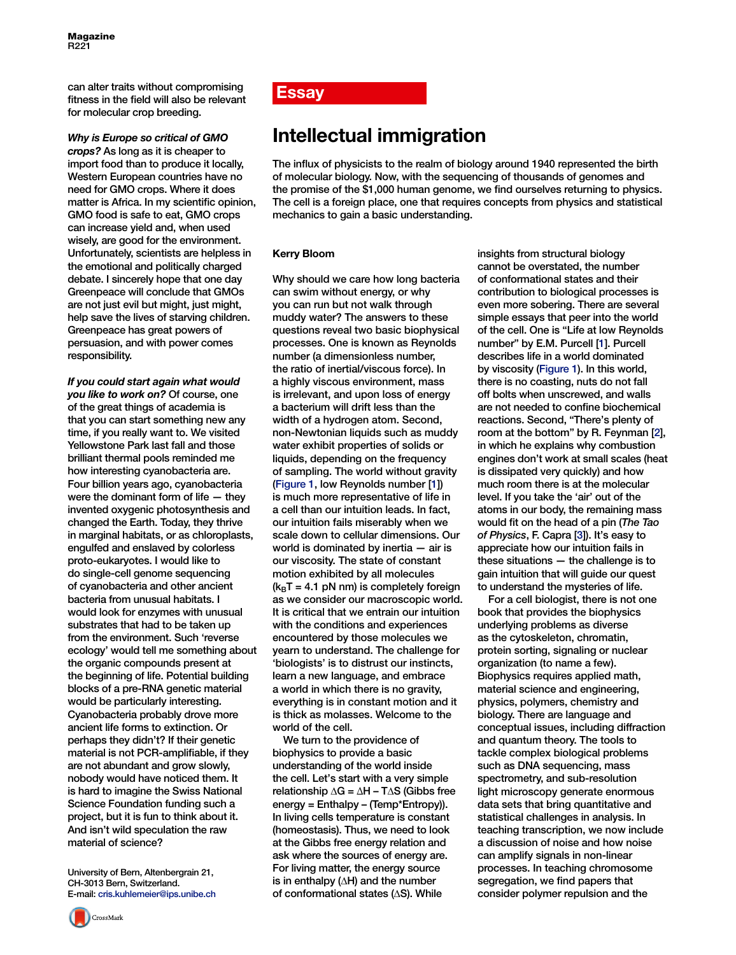can alter traits without compromising fitness in the field will also be relevant for molecular crop breeding.

# *Why is Europe so critical of GMO*

*crops?* As long as it is cheaper to import food than to produce it locally, Western European countries have no need for GMO crops. Where it does matter is Africa. In my scientific opinion, GMO food is safe to eat, GMO crops can increase yield and, when used wisely, are good for the environment. Unfortunately, scientists are helpless in the emotional and politically charged debate. I sincerely hope that one day Greenpeace will conclude that GMOs are not just evil but might, just might, help save the lives of starving children. Greenpeace has great powers of persuasion, and with power comes responsibility.

*If you could start again what would you like to work on?* Of course, one of the great things of academia is that you can start something new any time, if you really want to. We visited Yellowstone Park last fall and those brilliant thermal pools reminded me how interesting cyanobacteria are. Four billion years ago, cyanobacteria were the dominant form of life — they invented oxygenic photosynthesis and changed the Earth. Today, they thrive in marginal habitats, or as chloroplasts, engulfed and enslaved by colorless proto-eukaryotes. I would like to do single-cell genome sequencing of cyanobacteria and other ancient bacteria from unusual habitats. I would look for enzymes with unusual substrates that had to be taken up from the environment. Such 'reverse ecology' would tell me something about the organic compounds present at the beginning of life. Potential building blocks of a pre-RNA genetic material would be particularly interesting. Cyanobacteria probably drove more ancient life forms to extinction. Or perhaps they didn't? If their genetic material is not PCR-amplifiable, if they are not abundant and grow slowly, nobody would have noticed them. It is hard to imagine the Swiss National Science Foundation funding such a project, but it is fun to think about it. And isn't wild speculation the raw material of science?

University of Bern, Altenbergrain 21, CH-3013 Bern, Switzerland. E-mail: [cris.kuhlemeier@ips.unibe.ch](mailto:cris.kuhlemeier@ips.unibe.ch) 

# **Essay**

# **Intellectual immigration**

The influx of physicists to the realm of biology around 1940 represented the birth of molecular biology. Now, with the sequencing of thousands of genomes and the promise of the \$1,000 human genome, we find ourselves returning to physics. The cell is a foreign place, one that requires concepts from physics and statistical mechanics to gain a basic understanding.

# **Kerry Bloom**

Why should we care how long bacteria can swim without energy, or why you can run but not walk through muddy water? The answers to these questions reveal two basic biophysical processes. One is known as Reynolds number (a dimensionless number, the ratio of inertial/viscous force). In a highly viscous environment, mass is irrelevant, and upon loss of energy a bacterium will drift less than the width of a hydrogen atom. Second, non-Newtonian liquids such as muddy water exhibit properties of solids or liquids, depending on the frequency of sampling. The world without gravity [\(Figure 1,](#page-1-0) low Reynolds number [\[1\]](#page-2-0)) is much more representative of life in a cell than our intuition leads. In fact, our intuition fails miserably when we scale down to cellular dimensions. Our world is dominated by inertia — air is our viscosity. The state of constant motion exhibited by all molecules  $(k_BT = 4.1 \text{ pN nm})$  is completely foreign as we consider our macroscopic world. It is critical that we entrain our intuition with the conditions and experiences encountered by those molecules we yearn to understand. The challenge for 'biologists' is to distrust our instincts, learn a new language, and embrace a world in which there is no gravity, everything is in constant motion and it is thick as molasses. Welcome to the world of the cell.

We turn to the providence of biophysics to provide a basic understanding of the world inside the cell. Let's start with a very simple relationship  $\Delta G = \Delta H - T \Delta S$  (Gibbs free energy = Enthalpy – (Temp\*Entropy)). In living cells temperature is constant (homeostasis). Thus, we need to look at the Gibbs free energy relation and ask where the sources of energy are. For living matter, the energy source is in enthalpy  $( \Delta H)$  and the number of conformational states  $( \Delta S)$ . While

insights from structural biology cannot be overstated, the number of conformational states and their contribution to biological processes is even more sobering. There are several simple essays that peer into the world of the cell. One is "Life at low Reynolds number" by E.M. Purcell [\[1\]](#page-2-0). Purcell describes life in a world dominated by viscosity [\(Figure 1\).](#page-1-0) In this world, there is no coasting, nuts do not fall off bolts when unscrewed, and walls are not needed to confine biochemical reactions. Second, "There's plenty of room at the bottom" by R. Feynman [\[2\],](#page-2-0) in which he explains why combustion engines don't work at small scales (heat is dissipated very quickly) and how much room there is at the molecular level. If you take the 'air' out of the atoms in our body, the remaining mass would fit on the head of a pin (*The Tao of Physics*, F. Capra [\[3\]](#page-2-0)). It's easy to appreciate how our intuition fails in these situations — the challenge is to gain intuition that will guide our quest to understand the mysteries of life.

For a cell biologist, there is not one book that provides the biophysics underlying problems as diverse as the cytoskeleton, chromatin, protein sorting, signaling or nuclear organization (to name a few). Biophysics requires applied math, material science and engineering, physics, polymers, chemistry and biology. There are language and conceptual issues, including diffraction and quantum theory. The tools to tackle complex biological problems such as DNA sequencing, mass spectrometry, and sub-resolution light microscopy generate enormous data sets that bring quantitative and statistical challenges in analysis. In teaching transcription, we now include a discussion of noise and how noise can amplify signals in non-linear processes. In teaching chromosome segregation, we find papers that consider polymer repulsion and the

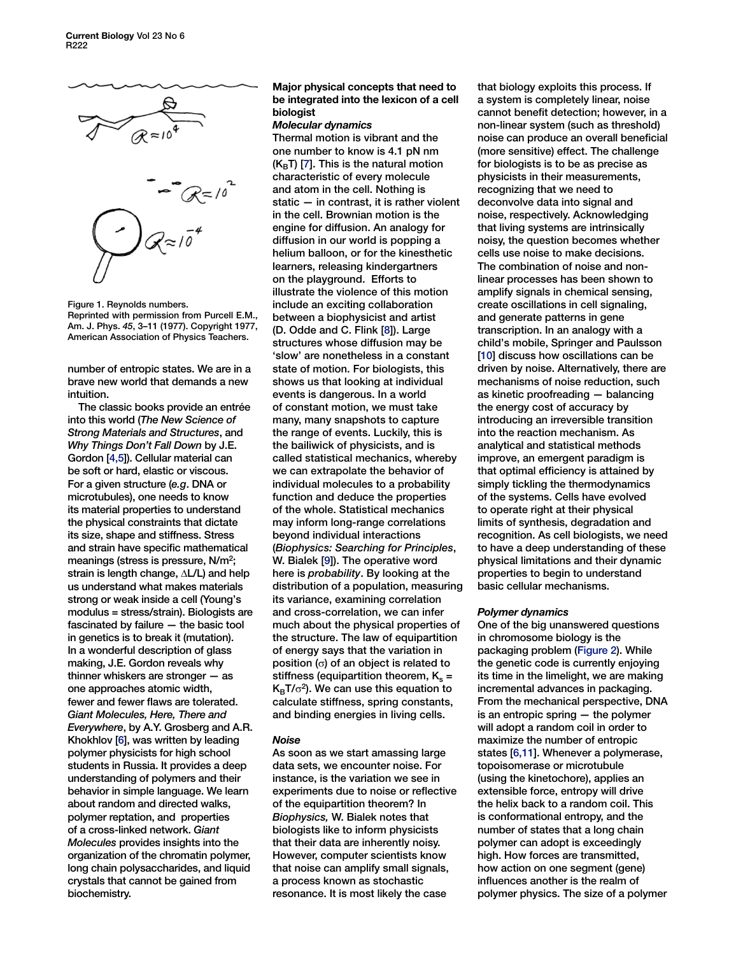<span id="page-1-0"></span>

Figure 1. Reynolds numbers. Reprinted with permission from Purcell E.M., Am. J. Phys. *45*, 3–11 (1977). Copyright 1977, American Association of Physics Teachers.

number of entropic states. We are in a brave new world that demands a new intuition.

The classic books provide an entrée into this world (*The New Science of Strong Materials and Structures*, and *Why Things Don't Fall Down* by J.E. Gordon [\[4,5\]](#page-2-0)). Cellular material can be soft or hard, elastic or viscous. For a given structure (*e.g*. DNA or microtubules), one needs to know its material properties to understand the physical constraints that dictate its size, shape and stiffness. Stress and strain have specific mathematical meanings (stress is pressure, N/m2; strain is length change,  $\Delta L/L$ ) and help us understand what makes materials strong or weak inside a cell (Young's modulus = stress/strain). Biologists are fascinated by failure — the basic tool in genetics is to break it (mutation). In a wonderful description of glass making, J.E. Gordon reveals why thinner whiskers are stronger — as one approaches atomic width, fewer and fewer flaws are tolerated. *Giant Molecules, Here, There and Everywhere*, by A.Y. Grosberg and A.R. Khokhlov [\[6\],](#page-2-0) was written by leading polymer physicists for high school students in Russia. It provides a deep understanding of polymers and their behavior in simple language. We learn about random and directed walks, polymer reptation, and properties of a cross-linked network. *Giant Molecules* provides insights into the organization of the chromatin polymer, long chain polysaccharides, and liquid crystals that cannot be gained from biochemistry.

**Major physical concepts that need to be integrated into the lexicon of a cell biologist**

#### *Molecular dynamics*

Thermal motion is vibrant and the one number to know is 4.1 pN nm  $(K_{\rm B}T)$  [7]. This is the natural motion characteristic of every molecule and atom in the cell. Nothing is static — in contrast, it is rather violent in the cell. Brownian motion is the engine for diffusion. An analogy for diffusion in our world is popping a helium balloon, or for the kinesthetic learners, releasing kindergartners on the playground. Efforts to illustrate the violence of this motion include an exciting collaboration between a biophysicist and artist (D. Odde and C. Flink [\[8\]\)](#page-2-0). Large structures whose diffusion may be 'slow' are nonetheless in a constant state of motion. For biologists, this shows us that looking at individual events is dangerous. In a world of constant motion, we must take many, many snapshots to capture the range of events. Luckily, this is the bailiwick of physicists, and is called statistical mechanics, whereby we can extrapolate the behavior of individual molecules to a probability function and deduce the properties of the whole. Statistical mechanics may inform long-range correlations beyond individual interactions (*Biophysics: Searching for Principles*, W. Bialek [\[9\]](#page-2-0)). The operative word here is *probability*. By looking at the distribution of a population, measuring its variance, examining correlation and cross-correlation, we can infer much about the physical properties of the structure. The law of equipartition of energy says that the variation in position  $(\sigma)$  of an object is related to stiffness (equipartition theorem,  $K_s =$  $K_{\rm B}T/\sigma^2$ ). We can use this equation to calculate stiffness, spring constants, and binding energies in living cells.

#### *Noise*

As soon as we start amassing large data sets, we encounter noise. For instance, is the variation we see in experiments due to noise or reflective of the equipartition theorem? In *Biophysics,* W. Bialek notes that biologists like to inform physicists that their data are inherently noisy. However, computer scientists know that noise can amplify small signals, a process known as stochastic resonance. It is most likely the case

that biology exploits this process. If a system is completely linear, noise cannot benefit detection; however, in a non-linear system (such as threshold) noise can produce an overall beneficial (more sensitive) effect. The challenge for biologists is to be as precise as physicists in their measurements, recognizing that we need to deconvolve data into signal and noise, respectively. Acknowledging that living systems are intrinsically noisy, the question becomes whether cells use noise to make decisions. The combination of noise and nonlinear processes has been shown to amplify signals in chemical sensing, create oscillations in cell signaling, and generate patterns in gene transcription. In an analogy with a child's mobile, Springer and Paulsson [\[10\]](#page-2-0) discuss how oscillations can be driven by noise. Alternatively, there are mechanisms of noise reduction, such as kinetic proofreading — balancing the energy cost of accuracy by introducing an irreversible transition into the reaction mechanism. As analytical and statistical methods improve, an emergent paradigm is that optimal efficiency is attained by simply tickling the thermodynamics of the systems. Cells have evolved to operate right at their physical limits of synthesis, degradation and recognition. As cell biologists, we need to have a deep understanding of these physical limitations and their dynamic properties to begin to understand basic cellular mechanisms.

#### *Polymer dynamics*

One of the big unanswered questions in chromosome biology is the packaging problem [\(Figure 2\)](#page-2-0). While the genetic code is currently enjoying its time in the limelight, we are making incremental advances in packaging. From the mechanical perspective, DNA is an entropic spring — the polymer will adopt a random coil in order to maximize the number of entropic states [\[6,11\]](#page-2-0). Whenever a polymerase, topoisomerase or microtubule (using the kinetochore), applies an extensible force, entropy will drive the helix back to a random coil. This is conformational entropy, and the number of states that a long chain polymer can adopt is exceedingly high. How forces are transmitted, how action on one segment (gene) influences another is the realm of polymer physics. The size of a polymer